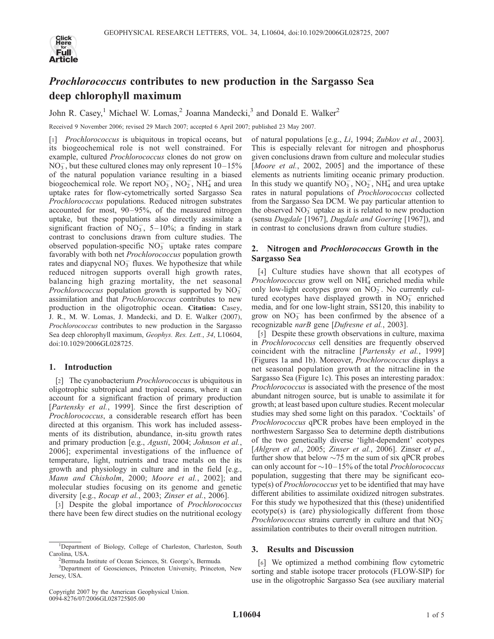

# Prochlorococcus contributes to new production in the Sargasso Sea deep chlorophyll maximum

John R. Casey,<sup>1</sup> Michael W. Lomas,<sup>2</sup> Joanna Mandecki,<sup>3</sup> and Donald E. Walker<sup>2</sup>

Received 9 November 2006; revised 29 March 2007; accepted 6 April 2007; published 23 May 2007.

[1] *Prochlorococcus* is ubiquitous in tropical oceans, but its biogeochemical role is not well constrained. For example, cultured *Prochlorococcus* clones do not grow on  $NO<sub>3</sub><sup>-</sup>$ , but these cultured clones may only represent  $10-15%$ of the natural population variance resulting in a biased biogeochemical role. We report  $NO_3^-$ ,  $NO_2^-$ ,  $NH_4^+$  and urea uptake rates for flow-cytometrically sorted Sargasso Sea Prochlorococcus populations. Reduced nitrogen substrates accounted for most,  $90-95\%$ , of the measured nitrogen uptake, but these populations also directly assimilate a significant fraction of  $NO_3^-$ , 5-10%; a finding in stark contrast to conclusions drawn from culture studies. The observed population-specific  $NO<sub>3</sub><sup>-</sup>$  uptake rates compare favorably with both net *Prochlorococcus* population growth rates and diapycnal  $NO_3^-$  fluxes. We hypothesize that while reduced nitrogen supports overall high growth rates, balancing high grazing mortality, the net seasonal Prochlorococcus population growth is supported by  $NO_3^$ assimilation and that Prochlorococcus contributes to new production in the oligotrophic ocean. Citation: Casey, J. R., M. W. Lomas, J. Mandecki, and D. E. Walker (2007), Prochlorococcus contributes to new production in the Sargasso Sea deep chlorophyll maximum, Geophys. Res. Lett., 34, L10604, doi:10.1029/2006GL028725.

### 1. Introduction

[2] The cyanobacterium *Prochlorococcus* is ubiquitous in oligotrophic subtropical and tropical oceans, where it can account for a significant fraction of primary production [Partensky et al., 1999]. Since the first description of Prochlorococcus, a considerable research effort has been directed at this organism. This work has included assessments of its distribution, abundance, in-situ growth rates and primary production [e.g., Agusti, 2004; Johnson et al., 2006]; experimental investigations of the influence of temperature, light, nutrients and trace metals on the its growth and physiology in culture and in the field [e.g., Mann and Chisholm, 2000; Moore et al., 2002]; and molecular studies focusing on its genome and genetic diversity [e.g., *Rocap et al.*, 2003; *Zinser et al.*, 2006].

[3] Despite the global importance of *Prochlorococcus* there have been few direct studies on the nutritional ecology

of natural populations [e.g., Li, 1994; Zubkov et al., 2003]. This is especially relevant for nitrogen and phosphorus given conclusions drawn from culture and molecular studies [Moore et al., 2002, 2005] and the importance of these elements as nutrients limiting oceanic primary production. In this study we quantify  $NO_3^-$ ,  $NO_2^-$ ,  $NH_4^+$  and urea uptake rates in natural populations of Prochlorococcus collected from the Sargasso Sea DCM. We pay particular attention to the observed  $\overline{NO_3}^-$  uptake as it is related to new production (sensu Dugdale [1967], Dugdale and Goering [1967]), and in contrast to conclusions drawn from culture studies.

## 2. Nitrogen and Prochlorococcus Growth in the Sargasso Sea

[4] Culture studies have shown that all ecotypes of *Prochlorococcus* grow well on  $NH<sub>4</sub><sup>+</sup>$  enriched media while only low-light ecotypes grow on  $\overline{NO_2}$ . No currently cultured ecotypes have displayed growth in  $NO<sub>3</sub>^-$  enriched media, and for one low-light strain, SS120, this inability to grow on  $NO<sub>3</sub><sup>-</sup>$  has been confirmed by the absence of a recognizable narB gene [Dufresne et al., 2003].

[5] Despite these growth observations in culture, maxima in Prochlorococcus cell densities are frequently observed coincident with the nitracline [Partensky et al., 1999] (Figures 1a and 1b). Moreover, Prochlorococcus displays a net seasonal population growth at the nitracline in the Sargasso Sea (Figure 1c). This poses an interesting paradox: *Prochlorococcus* is associated with the presence of the most abundant nitrogen source, but is unable to assimilate it for growth; at least based upon culture studies. Recent molecular studies may shed some light on this paradox. 'Cocktails' of Prochlorococcus qPCR probes have been employed in the northwestern Sargasso Sea to determine depth distributions of the two genetically diverse 'light-dependent' ecotypes [Ahlgren et al., 2005; Zinser et al., 2006]. Zinser et al., further show that below  $\sim$ 75 m the sum of six qPCR probes can only account for  $\sim$  10–15% of the total *Prochlorococcus* population, suggesting that there may be significant ecotype(s) of Prochlorococcus yet to be identified that may have different abilities to assimilate oxidized nitrogen substrates. For this study we hypothesized that this (these) unidentified ecotype(s) is (are) physiologically different from those Prochlorococcus strains currently in culture and that  $NO_3^$ assimilation contributes to their overall nitrogen nutrition.

## 3. Results and Discussion

[6] We optimized a method combining flow cytometric sorting and stable isotope tracer protocols (FLOW-SIP) for use in the oligotrophic Sargasso Sea (see auxiliary material

<sup>&</sup>lt;sup>1</sup>Department of Biology, College of Charleston, Charleston, South Carolina, USA.

<sup>&</sup>lt;sup>2</sup>Bermuda Institute of Ocean Sciences, St. George's, Bermuda.

<sup>3</sup> Department of Geosciences, Princeton University, Princeton, New Jersey, USA.

Copyright 2007 by the American Geophysical Union. 0094-8276/07/2006GL028725\$05.00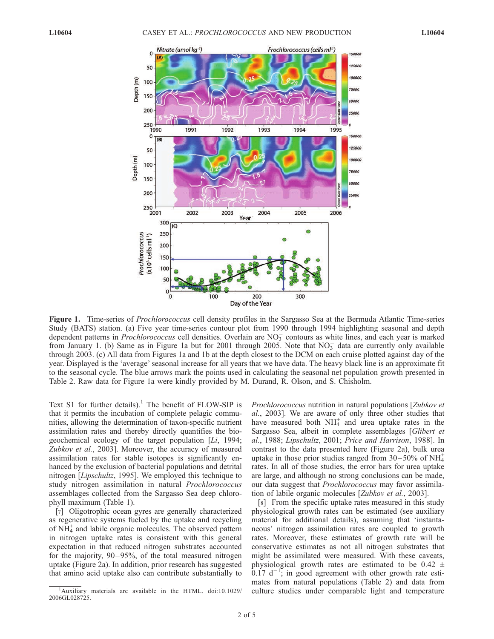

Figure 1. Time-series of Prochlorococcus cell density profiles in the Sargasso Sea at the Bermuda Atlantic Time-series Study (BATS) station. (a) Five year time-series contour plot from 1990 through 1994 highlighting seasonal and depth dependent patterns in *Prochlorococcus* cell densities. Overlain are  $NO<sub>3</sub>$  contours as white lines, and each year is marked from January 1. (b) Same as in Figure 1a but for 2001 through 2005. Note that  $NO<sub>3</sub>^-$  data are currently only available through 2003. (c) All data from Figures 1a and 1b at the depth closest to the DCM on each cruise plotted against day of the year. Displayed is the 'average' seasonal increase for all years that we have data. The heavy black line is an approximate fit to the seasonal cycle. The blue arrows mark the points used in calculating the seasonal net population growth presented in Table 2. Raw data for Figure 1a were kindly provided by M. Durand, R. Olson, and S. Chisholm.

Text S1 for further details).<sup>1</sup> The benefit of FLOW-SIP is that it permits the incubation of complete pelagic communities, allowing the determination of taxon-specific nutrient assimilation rates and thereby directly quantifies the biogeochemical ecology of the target population [Li, 1994; Zubkov et al., 2003]. Moreover, the accuracy of measured assimilation rates for stable isotopes is significantly enhanced by the exclusion of bacterial populations and detrital nitrogen [*Lipschultz*, 1995]. We employed this technique to study nitrogen assimilation in natural Prochlorococcus assemblages collected from the Sargasso Sea deep chlorophyll maximum (Table 1).

[7] Oligotrophic ocean gyres are generally characterized as regenerative systems fueled by the uptake and recycling of NH<sub>4</sub> and labile organic molecules. The observed pattern in nitrogen uptake rates is consistent with this general expectation in that reduced nitrogen substrates accounted for the majority, 90–95%, of the total measured nitrogen uptake (Figure 2a). In addition, prior research has suggested that amino acid uptake also can contribute substantially to Prochlorococcus nutrition in natural populations [Zubkov et al., 2003]. We are aware of only three other studies that have measured both  $NH_4^+$  and urea uptake rates in the Sargasso Sea, albeit in complete assemblages [Glibert et al., 1988; Lipschultz, 2001; Price and Harrison, 1988]. In contrast to the data presented here (Figure 2a), bulk urea uptake in those prior studies ranged from  $30-50\%$  of NH<sup>+</sup>4 rates. In all of those studies, the error bars for urea uptake are large, and although no strong conclusions can be made, our data suggest that Prochlorococcus may favor assimilation of labile organic molecules [Zubkov et al., 2003].

[8] From the specific uptake rates measured in this study physiological growth rates can be estimated (see auxiliary material for additional details), assuming that 'instantaneous' nitrogen assimilation rates are coupled to growth rates. Moreover, these estimates of growth rate will be conservative estimates as not all nitrogen substrates that might be assimilated were measured. With these caveats, physiological growth rates are estimated to be  $0.42 \pm$  $0.17$  d<sup>-1</sup>; in good agreement with other growth rate estimates from natural populations (Table 2) and data from culture studies under comparable light and temperature

<sup>&</sup>lt;sup>1</sup>Auxiliary materials are available in the HTML. doi:10.1029/ 2006GL028725.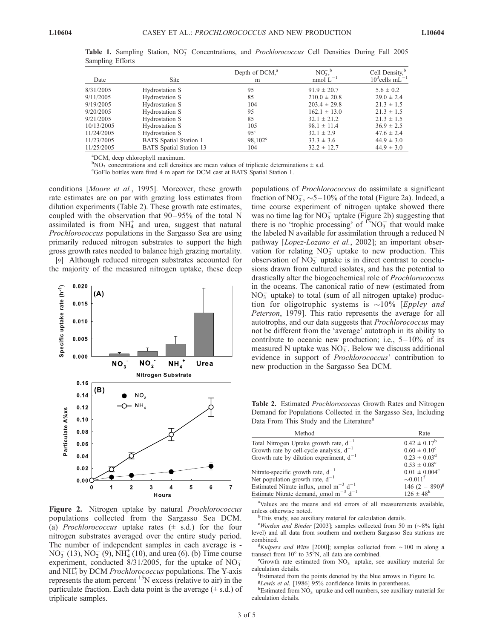| Date       | <b>Site</b>                    | Depth of DCM, <sup>a</sup><br>m | $NO3-b$<br>nmol $L^{-1}$ | Cell Density, <sup>b</sup><br>$103$ cells mL <sup>-1</sup> |
|------------|--------------------------------|---------------------------------|--------------------------|------------------------------------------------------------|
| 8/31/2005  | Hydrostation S                 | 95                              | $91.9 \pm 20.7$          | $5.6 \pm 0.2$                                              |
| 9/11/2005  | Hydrostation S                 | 85                              | $210.0 \pm 20.8$         | $29.0 \pm 2.4$                                             |
| 9/19/2005  | Hydrostation S                 | 104                             | $203.4 \pm 29.8$         | $21.3 \pm 1.5$                                             |
| 9/20/2005  | Hydrostation S                 | 95                              | $162.1 \pm 13.0$         | $21.3 \pm 1.5$                                             |
| 9/21/2005  | Hydrostation S                 | 85                              | $32.1 \pm 21.2$          | $21.3 \pm 1.5$                                             |
| 10/13/2005 | Hydrostation S                 | 105                             | $98.1 \pm 11.4$          | $36.9 \pm 2.5$                                             |
| 11/24/2005 | Hydrostation S                 | $95^{\circ}$                    | $32.1 \pm 2.9$           | $47.6 \pm 2.4$                                             |
| 11/23/2005 | <b>BATS</b> Spatial Station 1  | $98.102^{\circ}$                | $33.3 \pm 3.6$           | $44.9 \pm 3.0$                                             |
| 11/25/2005 | <b>BATS</b> Spatial Station 13 | 104                             | $32.2 \pm 12.7$          | $44.9 \pm 3.0$                                             |

Table 1. Sampling Station, NO<sub>3</sub> Concentrations, and Prochlorococcus Cell Densities During Fall 2005 Sampling Efforts

a DCM, deep chlorophyll maximum.

 $b_{\text{NO}_3}$  concentrations and cell densities are mean values of triplicate determinations  $\pm$  s.d.

GoFlo bottles were fired 4 m apart for DCM cast at BATS Spatial Station 1.

conditions [Moore et al., 1995]. Moreover, these growth rate estimates are on par with grazing loss estimates from dilution experiments (Table 2). These growth rate estimates, coupled with the observation that  $90-95%$  of the total N assimilated is from  $NH_4^+$  and urea, suggest that natural Prochlorococcus populations in the Sargasso Sea are using primarily reduced nitrogen substrates to support the high gross growth rates needed to balance high grazing mortality.

[9] Although reduced nitrogen substrates accounted for the majority of the measured nitrogen uptake, these deep



Figure 2. Nitrogen uptake by natural Prochlorococcus populations collected from the Sargasso Sea DCM. (a) Prochlorococcus uptake rates  $(\pm s.d.)$  for the four nitrogen substrates averaged over the entire study period. The number of independent samples in each average is -  $NO_3^-$  (13),  $NO_2^-$  (9),  $NH_4^+(10)$ , and urea (6). (b) Time course experiment, conducted  $8/31/2005$ , for the uptake of NO<sub>3</sub> and NH<sub>4</sub> by DCM Prochlorococcus populations. The Y-axis represents the atom percent  $^{15}N$  excess (relative to air) in the particulate fraction. Each data point is the average  $(\pm s.d.)$  of triplicate samples.

populations of Prochlorococcus do assimilate a significant fraction of  $NO_3^-$ ,  $\sim$ 5-10% of the total (Figure 2a). Indeed, a time course experiment of nitrogen uptake showed there was no time lag for  $NO_3^-$  uptake (Figure 2b) suggesting that there is no 'trophic processing' of  $^{15}NO_3^-$  that would make the labeled N available for assimilation through a reduced N pathway [Lopez-Lozano et al., 2002]; an important observation for relating  $NO_3^-$  uptake to new production. This observation of  $\overline{NO_3}$  uptake is in direct contrast to conclusions drawn from cultured isolates, and has the potential to drastically alter the biogeochemical role of Prochlorococcus in the oceans. The canonical ratio of new (estimated from  $NO<sub>3</sub><sup>-</sup>$  uptake) to total (sum of all nitrogen uptake) production for oligotrophic systems is  $\sim$ 10% [*Eppley and* Peterson, 1979]. This ratio represents the average for all autotrophs, and our data suggests that Prochlorococcus may not be different from the 'average' autotroph in its ability to contribute to oceanic new production; i.e.,  $5-10\%$  of its measured N uptake was  $NO_3^-$ . Below we discuss additional evidence in support of Prochlorococcus' contribution to new production in the Sargasso Sea DCM.

Table 2. Estimated Prochlorococcus Growth Rates and Nitrogen Demand for Populations Collected in the Sargasso Sea, Including Data From This Study and the Literature<sup>a</sup>

| Method                                                              | Rate                                    |
|---------------------------------------------------------------------|-----------------------------------------|
| Total Nitrogen Uptake growth rate, $d^{-1}$                         | $0.42 \pm 0.17^b$                       |
| Growth rate by cell-cycle analysis, $d^{-1}$                        | $0.60 \pm 0.10^{\circ}$                 |
| Growth rate by dilution experiment, $d^{-1}$                        | $0.23 \pm 0.03^d$                       |
|                                                                     | $0.53 \pm 0.08^{\circ}$                 |
| Nitrate-specific growth rate, $d^{-1}$                              | $0.01 \pm 0.004^e$                      |
| Net population growth rate, $d^{-1}$                                | $\sim 0.011^1$                          |
| Estimated Nitrate influx, $\mu$ mol m <sup>-3</sup> d <sup>-1</sup> | $146 (2 - 890)^{g}$<br>$126 \pm 48^{h}$ |
| Estimate Nitrate demand, $\mu$ mol m <sup>-3</sup> d <sup>-1</sup>  |                                         |

<sup>a</sup>Values are the means and std errors of all measurements available, unless otherwise noted.

<sup>b</sup>This study, see auxiliary material for calculation details.

<sup>c</sup>Worden and Binder [2003]; samples collected from 50 m ( $\sim$ 8% light level) and all data from southern and northern Sargasso Sea stations are combined.

Kuipers and Witte [2000]; samples collected from  $\sim$ 100 m along a transect from  $10^{\circ}$  to 35 $^{\circ}$ N, all data are combined.

Growth rate estimated from  $NO<sub>3</sub><sup>-</sup>$  uptake, see auxiliary material for calculation details.

<sup>f</sup>Estimated from the points denoted by the blue arrows in Figure 1c.

<sup>g</sup>Lewis et al. [1986] 95% confidence limits in parentheses.

Estimated from  $\overline{NO_3}$  uptake and cell numbers, see auxiliary material for calculation details.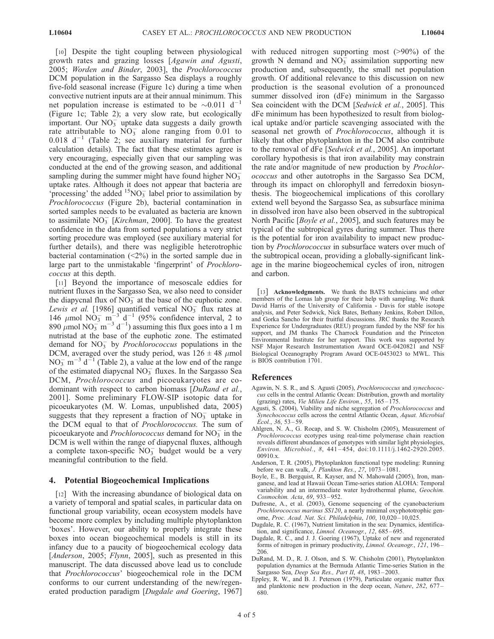[10] Despite the tight coupling between physiological growth rates and grazing losses [Agawin and Agusti, 2005; Worden and Binder, 2003], the Prochlorococcus DCM population in the Sargasso Sea displays a roughly five-fold seasonal increase (Figure 1c) during a time when convective nutrient inputs are at their annual minimum. This net population increase is estimated to be  $\sim 0.011 \text{ d}^{-1}$ (Figure 1c; Table 2); a very slow rate, but ecologically important. Our  $NO<sub>3</sub><sup>-</sup>$  uptake data suggests a daily growth rate attributable to  $\overline{NO_3^-}$  alone ranging from 0.01 to 0.018  $d^{-1}$  (Table 2; see auxiliary material for further calculation details). The fact that these estimates agree is very encouraging, especially given that our sampling was conducted at the end of the growing season, and additional sampling during the summer might have found higher  $NO_3^$ uptake rates. Although it does not appear that bacteria are 'processing' the added  $\frac{^{15}N}{^3}$  label prior to assimilation by Prochlorococcus (Figure 2b), bacterial contamination in sorted samples needs to be evaluated as bacteria are known to assimilate  $NO_3^-$  [*Kirchman*, 2000]. To have the greatest confidence in the data from sorted populations a very strict sorting procedure was employed (see auxiliary material for further details), and there was negligible heterotrophic bacterial contamination  $\left( \langle 2\% \rangle \right)$  in the sorted sample due in large part to the unmistakable 'fingerprint' of Prochlorococcus at this depth.

[11] Beyond the importance of mesoscale eddies for nutrient fluxes in the Sargasso Sea, we also need to consider the diapycnal flux of  $NO_3^-$  at the base of the euphotic zone. Lewis et al. [1986] quantified vertical  $NO_3^-$  flux rates at 146  $\mu$ mol NO<sub>3</sub> m<sup>-3</sup> d<sup>-1</sup> (95% confidence interval, 2 to 890  $\mu$ mol NO<sub>3</sub> m<sup>-3</sup> d<sup>-1</sup>) assuming this flux goes into a 1 m nutristad at the base of the euphotic zone. The estimated demand for  $NO<sub>3</sub><sup>-</sup>$  by *Prochlorococcus* populations in the DCM, averaged over the study period, was  $126 \pm 48$  µmol  $NO_3^-$  m<sup>-3</sup> d<sup>-1</sup> (Table 2), a value at the low end of the range of the estimated diapycnal  $NO_3^-$  fluxes. In the Sargasso Sea DCM, Prochlorococcus and picoeukaryotes are codominant with respect to carbon biomass [DuRand et al., 2001]. Some preliminary FLOW-SIP isotopic data for picoeukaryotes (M. W. Lomas, unpublished data, 2005) suggests that they represent a fraction of  $NO<sub>3</sub><sup>-</sup>$  uptake in the DCM equal to that of Prochlorococcus. The sum of picoeukaryote and *Prochlorococcus* demand for  $NO<sub>3</sub><sup>-</sup>$  in the DCM is well within the range of diapycnal fluxes, although a complete taxon-specific  $\overline{NO_3}^-$  budget would be a very meaningful contribution to the field.

#### 4. Potential Biogeochemical Implications

[12] With the increasing abundance of biological data on a variety of temporal and spatial scales, in particular data on functional group variability, ocean ecosystem models have become more complex by including multiple phytoplankton 'boxes'. However, our ability to properly integrate these boxes into ocean biogeochemical models is still in its infancy due to a paucity of biogeochemical ecology data [*Anderson*, 2005; *Flynn*, 2005], such as presented in this manuscript. The data discussed above lead us to conclude that Prochlorococcus' biogeochemical role in the DCM conforms to our current understanding of the new/regenerated production paradigm [Dugdale and Goering, 1967]

with reduced nitrogen supporting most (>90%) of the growth N demand and  $N\overline{O}_3^{\frac{1}{2}}$  assimilation supporting new production and, subsequently, the small net population growth. Of additional relevance to this discussion on new production is the seasonal evolution of a pronounced summer dissolved iron (dFe) minimum in the Sargasso Sea coincident with the DCM [Sedwick et al., 2005]. This dFe minimum has been hypothesized to result from biological uptake and/or particle scavenging associated with the seasonal net growth of *Prochlorococcus*, although it is likely that other phytoplankton in the DCM also contribute to the removal of dFe [Sedwick et al., 2005]. An important corollary hypothesis is that iron availability may constrain the rate and/or magnitude of new production by Prochlorococcus and other autotrophs in the Sargasso Sea DCM, through its impact on chlorophyll and ferredoxin biosynthesis. The biogeochemical implications of this corollary extend well beyond the Sargasso Sea, as subsurface minima in dissolved iron have also been observed in the subtropical North Pacific [Boyle et al., 2005], and such features may be typical of the subtropical gyres during summer. Thus there is the potential for iron availability to impact new production by Prochlorococcus in subsurface waters over much of the subtropical ocean, providing a globally-significant linkage in the marine biogeochemical cycles of iron, nitrogen and carbon.

[13] **Acknowledgments.** We thank the BATS technicians and other members of the Lomas lab group for their help with sampling. We thank David Harris of the University of California - Davis for stable isotope analysis, and Peter Sedwick, Nick Bates, Bethany Jenkins, Robert Dillon, and Gorka Sancho for their fruitful discussions. JRC thanks the Research Experience for Undergraduates (REU) program funded by the NSF for his support, and JM thanks The Charrock Foundation and the Princeton Environmental Institute for her support. This work was supported by NSF Major Research Instrumentation Award OCE-0420821 and NSF Biological Oceanography Program Award OCE-0453023 to MWL. This is BIOS contribution 1701.

#### References

- Agawin, N. S. R., and S. Agusti (2005), Prochlorococcus and synechococcus cells in the central Atlantic Ocean: Distribution, growth and mortality (grazing) rates, Vie Milieu Life Environ., 55, 165 – 175.
- Agusti, S. (2004), Viability and niche segregation of Prochlorococcus and Synechococcus cells across the central Atlantic Ocean, Aquat. Microbial Ecol., 36, 53 – 59.
- Ahlgren, N. A., G. Rocap, and S. W. Chisholm (2005), Measurement of Prochlorococcus ecotypes using real-time polymerase chain reaction reveals different abundances of genotypes with similar light physiologies, Environ. Microbiol., 8, 441 – 454, doi:10.1111/j.1462-2920.2005. 00910.x.
- Anderson, T. R. (2005), Phytoplankton functional type modeling: Running before we can walk, J. Plankton Res., 27, 1073-1081.
- Boyle, E., B. Bergquist, R. Kayser, and N. Mahowald (2005), Iron, manganese, and lead at Hawaii Ocean Time-series station ALOHA: Temporal variability and an intermediate water hydrothermal plume, Geochim. Cosmochim. Acta, 69, 933 – 952.
- Dufresne, A., et al. (2003), Genome sequencing of the cyanobacterium Prochlorococcus marinus SS120, a nearly minimal oxyphototrophic genome, Proc. Acad. Nat. Sci. Philadelphia, 100, 10,020-10,025.
- Dugdale, R. C. (1967), Nutrient limitation in the sea: Dynamics, identification, and significance, Limnol. Oceanogr., 12, 685-695.
- Dugdale, R. C., and J. J. Goering (1967), Uptake of new and regenerated forms of nitrogen in primary productivity, Limnol. Oceanogr., 121, 196-206.
- DuRand, M. D., R. J. Olson, and S. W. Chisholm (2001), Phytoplankton population dynamics at the Bermuda Atlantic Time-series Station in the Sargasso Sea, Deep Sea Res., Part II, 48, 1983-2003.
- Eppley, R. W., and B. J. Peterson (1979), Particulate organic matter flux and planktonic new production in the deep ocean, Nature, 282, 677 – 680.